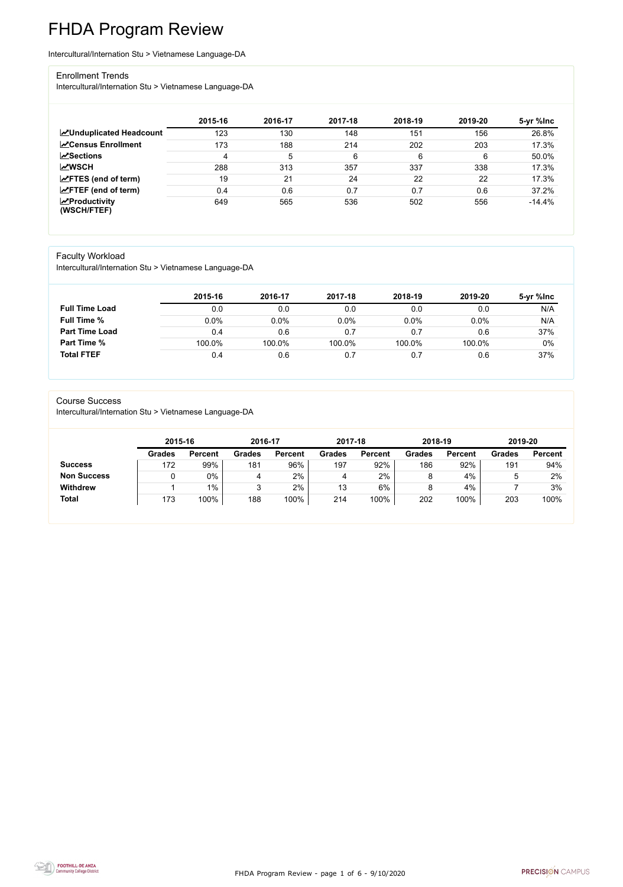FHDA Program Review - page 1 of 6 - 9/10/2020



# FHDA Program Review

Intercultural/Internation Stu > Vietnamese Language-DA

#### Enrollment Trends

Intercultural/Internation Stu > Vietnamese Language-DA

|                                                  | 2015-16 | 2016-17 | 2017-18 | 2018-19 | 2019-20 | 5-yr %lnc |
|--------------------------------------------------|---------|---------|---------|---------|---------|-----------|
| <b>ZUnduplicated Headcount</b>                   | 123     | 130     | 148     | 151     | 156     | 26.8%     |
| <b>ZCensus Enrollment</b>                        | 173     | 188     | 214     | 202     | 203     | 17.3%     |
| <b>ZSections</b>                                 | 4       | 5       | 6       | 6       | 6       | 50.0%     |
| <b>MWSCH</b>                                     | 288     | 313     | 357     | 337     | 338     | 17.3%     |
| $\angle$ FTES (end of term)                      | 19      | 21      | 24      | 22      | 22      | 17.3%     |
| $\angle$ FTEF (end of term)                      | 0.4     | 0.6     | 0.7     | 0.7     | 0.6     | 37.2%     |
| $\sqrt{\frac{1}{2}}$ Productivity<br>(WSCH/FTEF) | 649     | 565     | 536     | 502     | 556     | $-14.4%$  |

### Faculty Workload

Intercultural/Internation Stu > Vietnamese Language-DA

|                       | 2015-16 | 2016-17 | 2017-18 | 2018-19 | 2019-20 | 5-yr %lnc |
|-----------------------|---------|---------|---------|---------|---------|-----------|
| <b>Full Time Load</b> | 0.0     | 0.0     | $0.0\,$ | 0.0     | 0.0     | N/A       |
| <b>Full Time %</b>    | $0.0\%$ | 0.0%    | 0.0%    | 0.0%    | $0.0\%$ | N/A       |
| <b>Part Time Load</b> | 0.4     | 0.6     | 0.7     | 0.7     | 0.6     | 37%       |
| <b>Part Time %</b>    | 100.0%  | 100.0%  | 100.0%  | 100.0%  | 100.0%  | 0%        |
| <b>Total FTEF</b>     | 0.4     | 0.6     | 0.7     | 0.7     | 0.6     | 37%       |

#### Course Success

Intercultural/Internation Stu > Vietnamese Language-DA

| 2015-16       |                | 2016-17       |                | 2017-18       |                | 2018-19       |                | 2019-20       |                |
|---------------|----------------|---------------|----------------|---------------|----------------|---------------|----------------|---------------|----------------|
| <b>Grades</b> | <b>Percent</b> | <b>Grades</b> | <b>Percent</b> | <b>Grades</b> | <b>Percent</b> | <b>Grades</b> | <b>Percent</b> | <b>Grades</b> | <b>Percent</b> |
| 172           | 99%            | 181           | 96%            | 197           | 92%            | 186           | 92%            | 191           | 94%            |
|               | $0\%$          |               | 2%             |               | 2%             | O             | 4%             |               | 2%             |
|               | $1\%$          | ົ             | 2%             | 13            | 6%             | O             | 4%             |               | 3%             |
| 173           | 100%           | 188           | 100%           | 214           | 100%           | 202           | 100%           | 203           | 100%           |
|               |                |               |                |               |                |               |                |               |                |

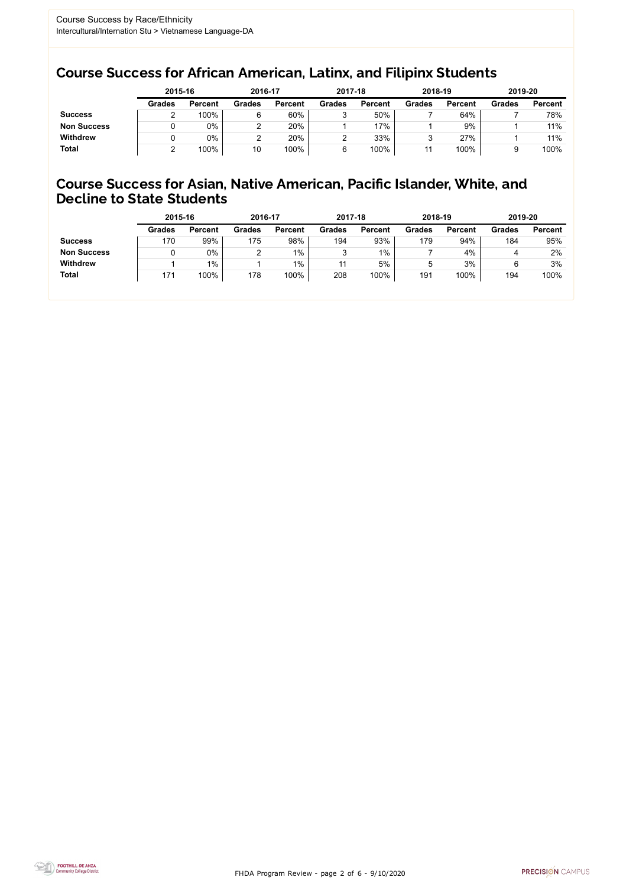FHDA Program Review - page 2 of 6 - 9/10/2020



### Course Success for African American, Latinx, and Filipinx Students

### Course Success for Asian, Native American, Pacific Islander, White, and Decline to State Students

|                    | 2015-16       |                | 2016-17       |                |               | 2017-18        |               | 2018-19        | 2019-20       |                |
|--------------------|---------------|----------------|---------------|----------------|---------------|----------------|---------------|----------------|---------------|----------------|
|                    | <b>Grades</b> | <b>Percent</b> | <b>Grades</b> | <b>Percent</b> | <b>Grades</b> | <b>Percent</b> | <b>Grades</b> | <b>Percent</b> | <b>Grades</b> | <b>Percent</b> |
| <b>Success</b>     |               | 100%           | 6             | 60%            | っ<br>J        | 50%            |               | 64%            |               | 78%            |
| <b>Non Success</b> |               | $0\%$          |               | 20%            |               | 17%            |               | 9%             |               | 11%            |
| <b>Withdrew</b>    |               | $0\%$          |               | 20%            |               | 33%            |               | 27%            |               | 11%            |
| <b>Total</b>       |               | 100%           | 10            | 100%           |               | 100%           | 11            | 100%           |               | 100%           |

|                    | 2015-16       |                | 2016-17       |                | 2017-18       |                | 2018-19       |                | 2019-20       |                |
|--------------------|---------------|----------------|---------------|----------------|---------------|----------------|---------------|----------------|---------------|----------------|
|                    | <b>Grades</b> | <b>Percent</b> | <b>Grades</b> | <b>Percent</b> | <b>Grades</b> | <b>Percent</b> | <b>Grades</b> | <b>Percent</b> | <b>Grades</b> | <b>Percent</b> |
| <b>Success</b>     | 170           | 99%            | 175           | 98%            | 194           | 93%            | 179           | 94%            | 184           | 95%            |
| <b>Non Success</b> |               | $0\%$          |               | 1%             |               | $1\%$          |               | 4%             |               | 2%             |
| <b>Withdrew</b>    |               | $1\%$          |               | $1\%$          |               | 5%             | ა             | 3%             |               | 3%             |
| <b>Total</b>       | 171           | 100%           | 178           | 100%           | 208           | 100%           | 191           | 100%           | 194           | 100%           |
|                    |               |                |               |                |               |                |               |                |               |                |

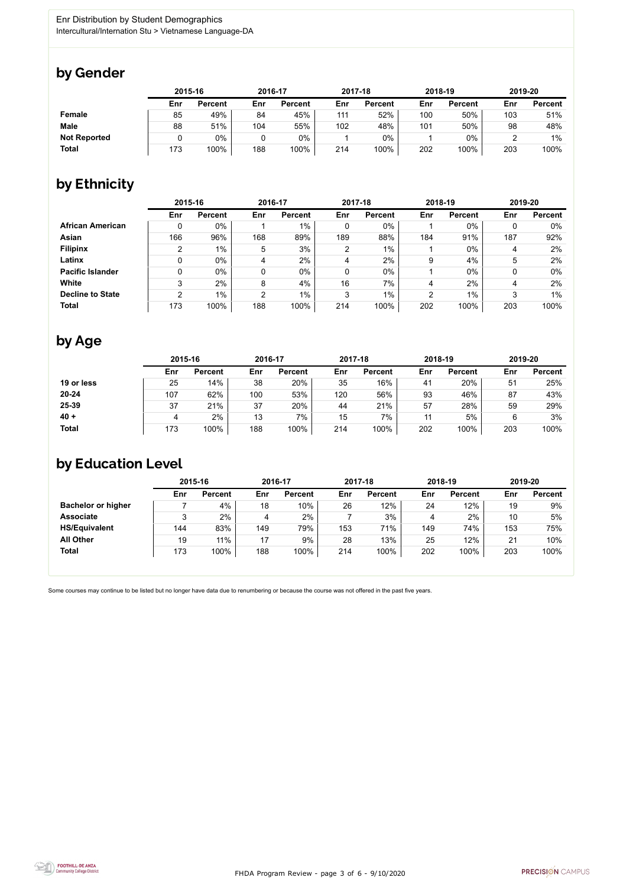FHDA Program Review - page 3 of 6 - 9/10/2020



Some courses may continue to be listed but no longer have data due to renumbering or because the course was not offered in the past five years.



### by Gender

|                     | 2015-16 |                |     | 2016-17        |     | 2017-18        |     | 2018-19        |     | 2019-20        |  |
|---------------------|---------|----------------|-----|----------------|-----|----------------|-----|----------------|-----|----------------|--|
|                     | Enr     | <b>Percent</b> | Enr | <b>Percent</b> | Enr | <b>Percent</b> | Enr | <b>Percent</b> | Enr | <b>Percent</b> |  |
| <b>Female</b>       | 85      | 49%            | 84  | 45%            | 111 | 52%            | 100 | 50%            | 103 | 51%            |  |
| <b>Male</b>         | 88      | 51%            | 104 | 55%            | 102 | 48%            | 101 | 50%            | 98  | 48%            |  |
| <b>Not Reported</b> |         | $0\%$          |     | $0\%$          |     | $0\%$          |     | $0\%$          |     | $1\%$          |  |
| <b>Total</b>        | 173     | 100%           | 188 | 100%           | 214 | 100%           | 202 | 100%           | 203 | 100%           |  |

## by Ethnicity

|                         | 2015-16 |                |                | 2016-17        |                | 2017-18        | 2018-19 |                | 2019-20 |                |
|-------------------------|---------|----------------|----------------|----------------|----------------|----------------|---------|----------------|---------|----------------|
|                         | Enr     | <b>Percent</b> | Enr            | <b>Percent</b> | Enr            | <b>Percent</b> | Enr     | <b>Percent</b> | Enr     | <b>Percent</b> |
| <b>African American</b> | 0       | $0\%$          |                | $1\%$          | 0              | 0%             |         | $0\%$          |         | $0\%$          |
| Asian                   | 166     | 96%            | 168            | 89%            | 189            | 88%            | 184     | 91%            | 187     | 92%            |
| <b>Filipinx</b>         | っ       | $1\%$          | 5              | 3%             | $\overline{2}$ | $1\%$          |         | $0\%$          | 4       | 2%             |
| Latinx                  | 0       | $0\%$          | 4              | 2%             | 4              | 2%             | 9       | 4%             | 5       | 2%             |
| <b>Pacific Islander</b> | 0       | 0%             |                | $0\%$          | 0              | $0\%$          |         | $0\%$          |         | 0%             |
| White                   | 3       | 2%             | 8              | 4%             | 16             | 7%             | 4       | 2%             | 4       | 2%             |
| <b>Decline to State</b> | C       | $1\%$          | $\overline{2}$ | $1\%$          | 3              | $1\%$          | 2       | $1\%$          | 3       | 1%             |
| <b>Total</b>            | 173     | 100%           | 188            | 100%           | 214            | 100%           | 202     | 100%           | 203     | 100%           |

## by Age

|              | 2015-16      |                |     | 2016-17        |     | 2017-18        | 2018-19 |                | 2019-20 |                |
|--------------|--------------|----------------|-----|----------------|-----|----------------|---------|----------------|---------|----------------|
|              | Enr          | <b>Percent</b> | Enr | <b>Percent</b> | Enr | <b>Percent</b> | Enr     | <b>Percent</b> | Enr     | <b>Percent</b> |
| 19 or less   | 25           | 14%            | 38  | 20%            | 35  | 16%            | 41      | 20%            | 51      | 25%            |
| $20 - 24$    | 107          | 62%            | 100 | 53%            | 120 | 56%            | 93      | 46%            | 87      | 43%            |
| 25-39        | 37           | 21%            | 37  | 20%            | 44  | 21%            | 57      | 28%            | 59      | 29%            |
| $40 +$       | $\mathbf{A}$ | 2%             | 13  | 7%             | 15  | 7%             | 11      | 5%             |         | 3%             |
| <b>Total</b> | 173          | 100%           | 188 | 100%           | 214 | 100%           | 202     | 100%           | 203     | 100%           |

### by Education Level

|                           | 2015-16 |                |     | 2016-17        |     | 2017-18        | 2018-19 |                | 2019-20 |                |
|---------------------------|---------|----------------|-----|----------------|-----|----------------|---------|----------------|---------|----------------|
|                           | Enr     | <b>Percent</b> | Enr | <b>Percent</b> | Enr | <b>Percent</b> | Enr     | <b>Percent</b> | Enr     | <b>Percent</b> |
| <b>Bachelor or higher</b> |         | 4%             | 18  | 10%            | 26  | 12%            | 24      | 12%            | 19      | 9%             |
| <b>Associate</b>          | 2<br>◡  | $2\%$          | 4   | 2%             |     | 3%             |         | 2%             | 10      | 5%             |
| <b>HS/Equivalent</b>      | 144     | 83%            | 149 | 79%            | 153 | 71%            | 149     | 74%            | 153     | 75%            |
| <b>All Other</b>          | 19      | 11%            | 17  | 9%             | 28  | 13%            | 25      | 12%            | 21      | 10%            |
| <b>Total</b>              | 173     | 100%           | 188 | 100%           | 214 | 100%           | 202     | 100%           | 203     | 100%           |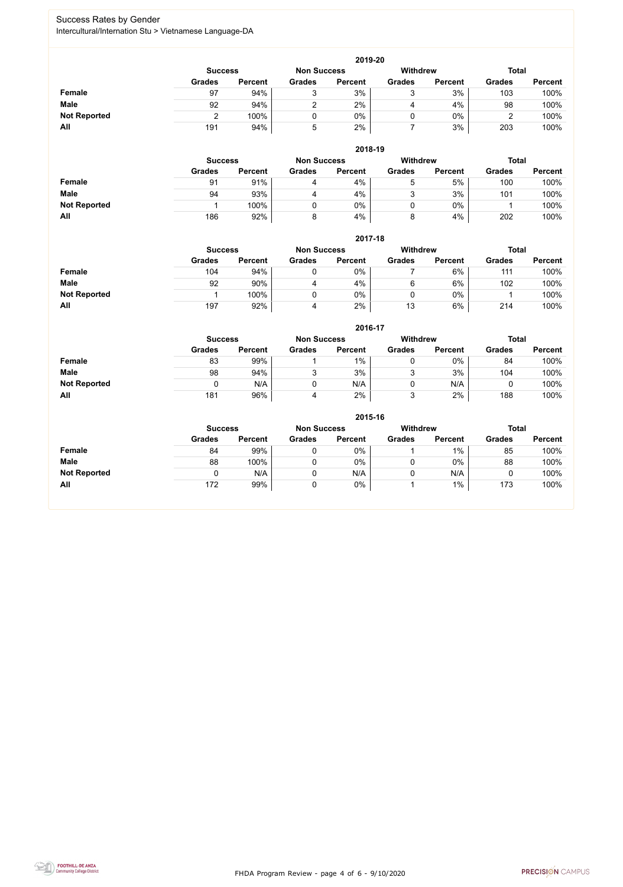FHDA Program Review - page 4 of 6 - 9/10/2020



### Success Rates by Gender Intercultural/Internation Stu > Vietnamese Language-DA

|                     | 2019-20       |                                      |               |                |               |                 |               |                |  |  |  |  |  |
|---------------------|---------------|--------------------------------------|---------------|----------------|---------------|-----------------|---------------|----------------|--|--|--|--|--|
|                     |               | <b>Non Success</b><br><b>Success</b> |               |                |               | <b>Withdrew</b> | <b>Total</b>  |                |  |  |  |  |  |
|                     | <b>Grades</b> | <b>Percent</b>                       | <b>Grades</b> | <b>Percent</b> | <b>Grades</b> | <b>Percent</b>  | <b>Grades</b> | <b>Percent</b> |  |  |  |  |  |
| Female              | 97            | 94%                                  |               | 3%             |               | 3%              | 103           | 100%           |  |  |  |  |  |
| <b>Male</b>         | 92            | 94%                                  |               | 2%             | 4             | 4%              | 98            | 100%           |  |  |  |  |  |
| <b>Not Reported</b> |               | 100%                                 |               | 0%             |               | $0\%$           | ╭             | 100%           |  |  |  |  |  |
| All                 | 191           | 94%                                  | 5             | 2%             |               | 3%              | 203           | 100%           |  |  |  |  |  |

|                     |                | 2018-19        |               |                                       |               |                |               |                |  |  |  |  |  |  |
|---------------------|----------------|----------------|---------------|---------------------------------------|---------------|----------------|---------------|----------------|--|--|--|--|--|--|
|                     | <b>Success</b> |                |               | <b>Withdrew</b><br><b>Non Success</b> |               |                | <b>Total</b>  |                |  |  |  |  |  |  |
|                     | <b>Grades</b>  | <b>Percent</b> | <b>Grades</b> | <b>Percent</b>                        | <b>Grades</b> | <b>Percent</b> | <b>Grades</b> | <b>Percent</b> |  |  |  |  |  |  |
| <b>Female</b>       | 91             | 91%            | 4             | 4%                                    | b             | 5%             | 100           | 100%           |  |  |  |  |  |  |
| <b>Male</b>         | 94             | 93%            | 4             | 4%                                    | 2             | 3%             | 101           | 100%           |  |  |  |  |  |  |
| <b>Not Reported</b> |                | 100%           |               | 0%                                    |               | $0\%$          |               | 100%           |  |  |  |  |  |  |
| All                 | 186            | 92%            |               | 4%                                    | 8             | 4%             | 202           | 100%           |  |  |  |  |  |  |

|                     |                | 2017-18        |               |                                       |               |                |               |                |  |  |  |  |  |  |
|---------------------|----------------|----------------|---------------|---------------------------------------|---------------|----------------|---------------|----------------|--|--|--|--|--|--|
|                     | <b>Success</b> |                |               | <b>Withdrew</b><br><b>Non Success</b> |               |                | <b>Total</b>  |                |  |  |  |  |  |  |
|                     | <b>Grades</b>  | <b>Percent</b> | <b>Grades</b> | <b>Percent</b>                        | <b>Grades</b> | <b>Percent</b> | <b>Grades</b> | <b>Percent</b> |  |  |  |  |  |  |
| <b>Female</b>       | 104            | 94%            |               | 0%                                    |               | 6%             | 111           | 100%           |  |  |  |  |  |  |
| <b>Male</b>         | 92             | 90%            | 4             | 4%                                    | 6             | 6%             | 102           | 100%           |  |  |  |  |  |  |
| <b>Not Reported</b> |                | 100%           |               | 0%                                    |               | 0%             |               | 100%           |  |  |  |  |  |  |
| All                 | 197            | 92%            |               | 2%                                    | 13            | 6%             | 214           | 100%           |  |  |  |  |  |  |

|                     |                | 2016-17        |                    |                |                 |                |               |                |  |  |
|---------------------|----------------|----------------|--------------------|----------------|-----------------|----------------|---------------|----------------|--|--|
|                     | <b>Success</b> |                | <b>Non Success</b> |                | <b>Withdrew</b> |                | <b>Total</b>  |                |  |  |
|                     | <b>Grades</b>  | <b>Percent</b> | <b>Grades</b>      | <b>Percent</b> | <b>Grades</b>   | <b>Percent</b> | <b>Grades</b> | <b>Percent</b> |  |  |
| Female              | 83             | 99%            |                    | 1%             |                 | $0\%$          | 84            | 100%           |  |  |
| <b>Male</b>         | 98             | 94%            |                    | 3%             | ο<br>ັ          | 3%             | 104           | 100%           |  |  |
| <b>Not Reported</b> |                | N/A            |                    | N/A            |                 | N/A            |               | 100%           |  |  |
| All                 | 181            | 96%            | 4                  | 2%             | າ               | 2%             | 188           | 100%           |  |  |

|                     | 2015-16                                                          |                |               |                |               |                |               |                |  |
|---------------------|------------------------------------------------------------------|----------------|---------------|----------------|---------------|----------------|---------------|----------------|--|
|                     | Withdrew<br><b>Total</b><br><b>Non Success</b><br><b>Success</b> |                |               |                |               |                |               |                |  |
|                     | <b>Grades</b>                                                    | <b>Percent</b> | <b>Grades</b> | <b>Percent</b> | <b>Grades</b> | <b>Percent</b> | <b>Grades</b> | <b>Percent</b> |  |
| Female              | 84                                                               | 99%            | 0             | $0\%$          |               | $1\%$          | 85            | 100%           |  |
| <b>Male</b>         | 88                                                               | 100%           | 0             | $0\%$          | v             | $0\%$          | 88            | 100%           |  |
| <b>Not Reported</b> |                                                                  | N/A            | 0             | N/A            | υ             | N/A            |               | 100%           |  |
| All                 | 172                                                              | 99%            | 0             | 0%             |               | $1\%$          | 173           | 100%           |  |

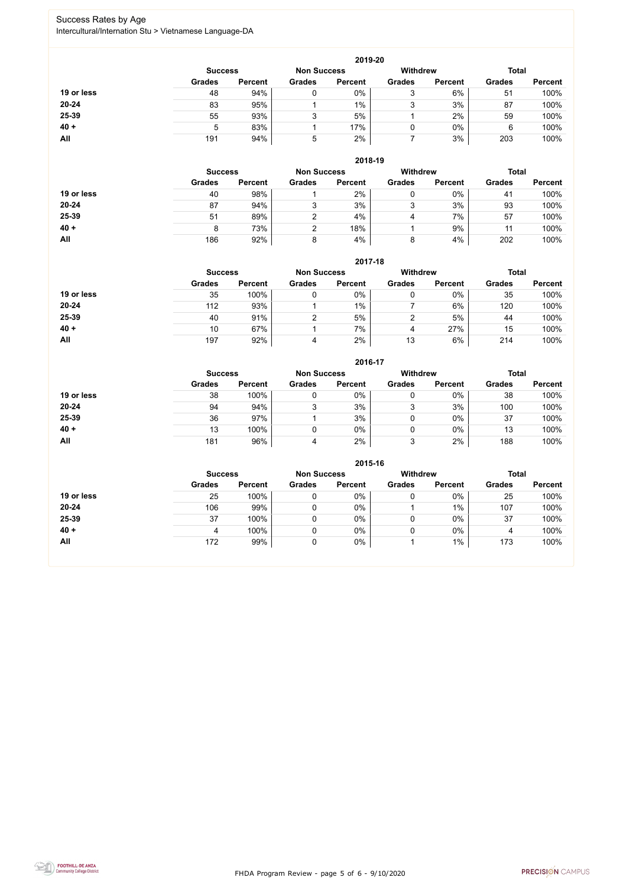FHDA Program Review - page 5 of 6 - 9/10/2020



### Success Rates by Age Intercultural/Internation Stu > Vietnamese Language-DA

|            | 2019-20        |                    |               |                 |               |                |               |                |  |
|------------|----------------|--------------------|---------------|-----------------|---------------|----------------|---------------|----------------|--|
|            | <b>Success</b> | <b>Non Success</b> |               | <b>Withdrew</b> |               | <b>Total</b>   |               |                |  |
|            | <b>Grades</b>  | <b>Percent</b>     | <b>Grades</b> | <b>Percent</b>  | <b>Grades</b> | <b>Percent</b> | <b>Grades</b> | <b>Percent</b> |  |
| 19 or less | 48             | 94%                | 0             | 0%              | ົ<br>J        | 6%             | 51            | 100%           |  |
| $20 - 24$  | 83             | 95%                |               | $1\%$           | ົ<br>J        | 3%             | 87            | 100%           |  |
| 25-39      | 55             | 93%                | 3             | 5%              |               | 2%             | 59            | 100%           |  |
| $40 +$     | 5              | 83%                |               | 17%             | 0             | $0\%$          | 6             | 100%           |  |
| All        | 191            | 94%                | 5             | 2%              |               | 3%             | 203           | 100%           |  |

|            | 2018-19        |                    |               |                |                                 |                |               |                |  |
|------------|----------------|--------------------|---------------|----------------|---------------------------------|----------------|---------------|----------------|--|
|            | <b>Success</b> | <b>Non Success</b> |               |                | <b>Withdrew</b><br><b>Total</b> |                |               |                |  |
|            | <b>Grades</b>  | <b>Percent</b>     | <b>Grades</b> | <b>Percent</b> | <b>Grades</b>                   | <b>Percent</b> | <b>Grades</b> | <b>Percent</b> |  |
| 19 or less | 40             | 98%                |               | 2%             | 0                               | 0%             | 41            | 100%           |  |
| $20 - 24$  | 87             | 94%                | 3             | 3%             | 3                               | 3%             | 93            | 100%           |  |
| 25-39      | 51             | 89%                | ົ             | 4%             | 4                               | 7%             | 57            | 100%           |  |
| $40 +$     | 8              | 73%                |               | 18%            |                                 | 9%             | 11            | 100%           |  |
| All        | 186            | 92%                | 8             | 4%             | 8                               | 4%             | 202           | 100%           |  |

|            | 2017-18                              |                |               |                |                 |                |               |                |
|------------|--------------------------------------|----------------|---------------|----------------|-----------------|----------------|---------------|----------------|
|            | <b>Non Success</b><br><b>Success</b> |                |               |                | <b>Withdrew</b> |                | <b>Total</b>  |                |
|            | <b>Grades</b>                        | <b>Percent</b> | <b>Grades</b> | <b>Percent</b> | <b>Grades</b>   | <b>Percent</b> | <b>Grades</b> | <b>Percent</b> |
| 19 or less | 35                                   | 100%           | 0             | 0%             | 0               | 0%             | 35            | 100%           |
| 20-24      | 112                                  | 93%            |               | $1\%$          |                 | 6%             | 120           | 100%           |
| 25-39      | 40                                   | 91%            | ⌒             | 5%             | ⌒               | 5%             | 44            | 100%           |
| $40 +$     | 10                                   | 67%            |               | 7%             | 4               | 27%            | 15            | 100%           |
| All        | 197                                  | 92%            | 4             | 2%             | 13              | 6%             | 214           | 100%           |

#### **2016-17**



|            |                |                    |               | 671 V 71        |               |                |               |                |
|------------|----------------|--------------------|---------------|-----------------|---------------|----------------|---------------|----------------|
|            | <b>Success</b> | <b>Non Success</b> |               | <b>Withdrew</b> |               | <b>Total</b>   |               |                |
|            | <b>Grades</b>  | <b>Percent</b>     | <b>Grades</b> | <b>Percent</b>  | <b>Grades</b> | <b>Percent</b> | <b>Grades</b> | <b>Percent</b> |
| 19 or less | 38             | 100%               |               | 0%              |               | $0\%$          | 38            | 100%           |
| $20 - 24$  | 94             | 94%                |               | 3%              | ບ             | 3%             | 100           | 100%           |
| 25-39      | 36             | 97%                |               | 3%              |               | $0\%$          | 37            | 100%           |
| $40 +$     | 13             | 100%               |               | $0\%$           |               | $0\%$          | 13            | 100%           |
| All        | 181            | 96%                |               | 2%              | っ<br>◡        | 2%             | 188           | 100%           |

|            | 2015-16                                                 |                |               |                |               |                |               |                |  |
|------------|---------------------------------------------------------|----------------|---------------|----------------|---------------|----------------|---------------|----------------|--|
|            | <b>Withdrew</b><br><b>Non Success</b><br><b>Success</b> |                |               |                |               |                |               | <b>Total</b>   |  |
|            | <b>Grades</b>                                           | <b>Percent</b> | <b>Grades</b> | <b>Percent</b> | <b>Grades</b> | <b>Percent</b> | <b>Grades</b> | <b>Percent</b> |  |
| 19 or less | 25                                                      | 100%           |               | $0\%$          |               | 0%             | 25            | 100%           |  |
| 20-24      | 106                                                     | 99%            |               | $0\%$          |               | 1%             | 107           | 100%           |  |
| 25-39      | 37                                                      | 100%           |               | $0\%$          |               | 0%             | 37            | 100%           |  |
| $40 +$     | 4                                                       | 100%           |               | 0%             |               | $0\%$          | 4             | 100%           |  |
| All        | 172                                                     | 99%            |               | $0\%$          |               | $1\%$          | 173           | 100%           |  |